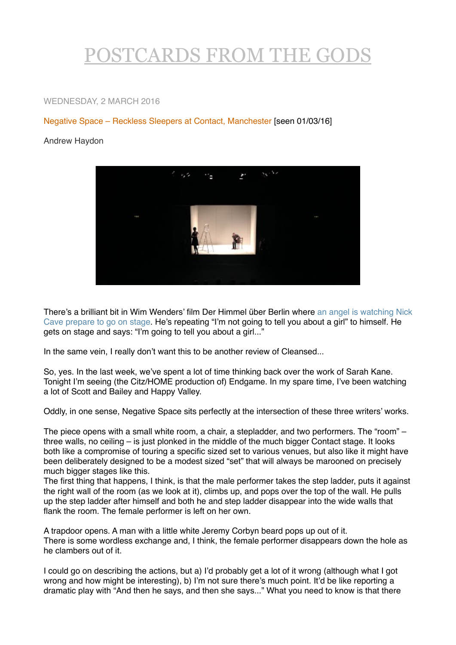## [POSTCARDS FROM THE GODS](http://postcardsgods.blogspot.be)

## WEDNESDAY, 2 MARCH 2016

## Negative Space – Reckless Sleepers at Contact, Manchester [seen 01/03/16]

## Andrew Haydon



[There's a brilliant bit in Wim Wenders' film Der Himmel über Berlin where an angel is watching Nick](https://www.youtube.com/watch?v=MjYf9IiB8QE)  Cave prepare to go on stage. He's repeating "I'm not going to tell you about a girl" to himself. He gets on stage and says: "I'm going to tell you about a girl..."

In the same vein, I really don't want this to be another review of Cleansed...

So, yes. In the last week, we've spent a lot of time thinking back over the work of Sarah Kane. Tonight I'm seeing (the Citz/HOME production of) Endgame. In my spare time, I've been watching a lot of Scott and Bailey and Happy Valley.

Oddly, in one sense, Negative Space sits perfectly at the intersection of these three writers' works.

The piece opens with a small white room, a chair, a stepladder, and two performers. The "room" – three walls, no ceiling – is just plonked in the middle of the much bigger Contact stage. It looks both like a compromise of touring a specific sized set to various venues, but also like it might have been deliberately designed to be a modest sized "set" that will always be marooned on precisely much bigger stages like this.

The first thing that happens, I think, is that the male performer takes the step ladder, puts it against the right wall of the room (as we look at it), climbs up, and pops over the top of the wall. He pulls up the step ladder after himself and both he and step ladder disappear into the wide walls that flank the room. The female performer is left on her own.

A trapdoor opens. A man with a little white Jeremy Corbyn beard pops up out of it. There is some wordless exchange and, I think, the female performer disappears down the hole as he clambers out of it.

I could go on describing the actions, but a) I'd probably get a lot of it wrong (although what I got wrong and how might be interesting), b) I'm not sure there's much point. It'd be like reporting a dramatic play with "And then he says, and then she says..." What you need to know is that there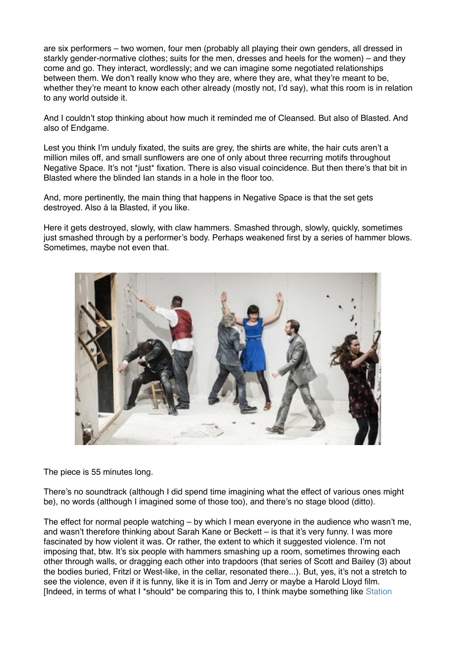are six performers – two women, four men (probably all playing their own genders, all dressed in starkly gender-normative clothes; suits for the men, dresses and heels for the women) – and they come and go. They interact, wordlessly; and we can imagine some negotiated relationships between them. We don't really know who they are, where they are, what they're meant to be, whether they're meant to know each other already (mostly not, I'd say), what this room is in relation to any world outside it.

And I couldn't stop thinking about how much it reminded me of Cleansed. But also of Blasted. And also of Endgame.

Lest you think I'm unduly fixated, the suits are grey, the shirts are white, the hair cuts aren't a million miles off, and small sunflowers are one of only about three recurring motifs throughout Negative Space. It's not \*just\* fixation. There is also visual coincidence. But then there's that bit in Blasted where the blinded Ian stands in a hole in the floor too.

And, more pertinently, the main thing that happens in Negative Space is that the set gets destroyed. Also á la Blasted, if you like.

Here it gets destroyed, slowly, with claw hammers. Smashed through, slowly, quickly, sometimes just smashed through by a performer's body. Perhaps weakened first by a series of hammer blows. Sometimes, maybe not even that.



The piece is 55 minutes long.

There's no soundtrack (although I did spend time imagining what the effect of various ones might be), no words (although I imagined some of those too), and there's no stage blood (ditto).

The effect for normal people watching – by which I mean everyone in the audience who wasn't me, and wasn't therefore thinking about Sarah Kane or Beckett – is that it's very funny. I was more fascinated by how violent it was. Or rather, the extent to which it suggested violence. I'm not imposing that, btw. It's six people with hammers smashing up a room, sometimes throwing each other through walls, or dragging each other into trapdoors (that series of Scott and Bailey (3) about the bodies buried, Fritzl or West-like, in the cellar, resonated there...). But, yes, it's not a stretch to see the violence, even if it is funny, like it is in Tom and Jerry or maybe a Harold Lloyd film. [Indeed, in terms of what I \*should\* be comparing this to, I think maybe something like [Station](https://andrewhaydon.wordpress.com/2008/11/19/mind-out-bac/)